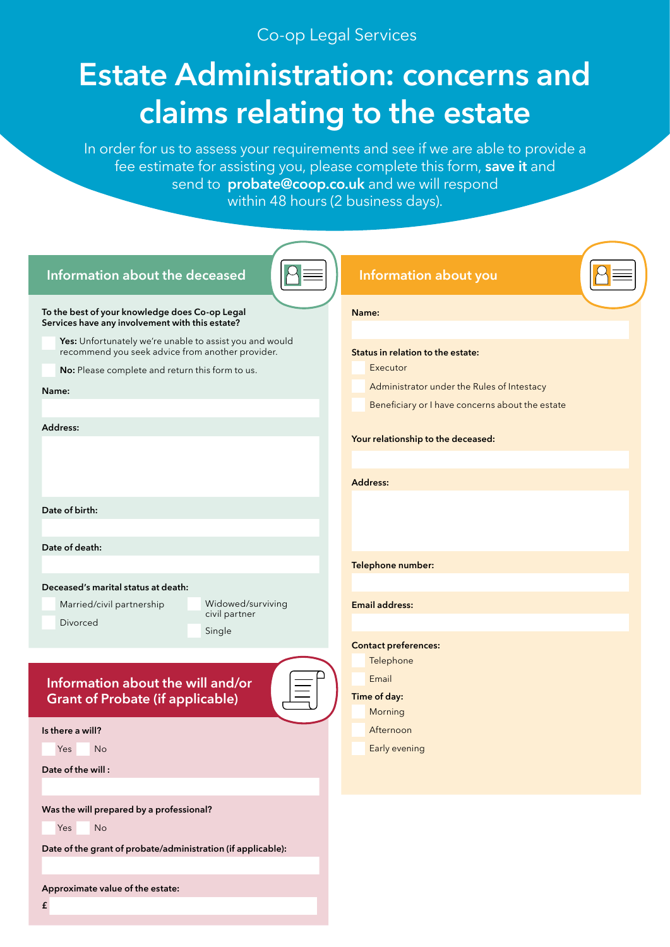## Co-op Legal Services

# **Estate Administration: concerns and claims relating to the estate**

In order for us to assess your requirements and see if we are able to provide a fee estimate for assisting you, please complete this form, **save it** and send to **probate@coop.co.uk** and we will respond within 48 hours (2 business days).

| Information about the deceased                                                                                                                                          | Information about you                                                                       |
|-------------------------------------------------------------------------------------------------------------------------------------------------------------------------|---------------------------------------------------------------------------------------------|
| To the best of your knowledge does Co-op Legal<br>Services have any involvement with this estate?                                                                       | Name:                                                                                       |
| Yes: Unfortunately we're unable to assist you and would<br>recommend you seek advice from another provider.<br>No: Please complete and return this form to us.<br>Name: | Status in relation to the estate:<br>Executor<br>Administrator under the Rules of Intestacy |
|                                                                                                                                                                         | Beneficiary or I have concerns about the estate                                             |
| Address:                                                                                                                                                                | Your relationship to the deceased:                                                          |
|                                                                                                                                                                         |                                                                                             |
|                                                                                                                                                                         | <b>Address:</b>                                                                             |
| Date of birth:                                                                                                                                                          |                                                                                             |
|                                                                                                                                                                         |                                                                                             |
| Date of death:                                                                                                                                                          |                                                                                             |
|                                                                                                                                                                         | Telephone number:                                                                           |
| Deceased's marital status at death:<br>Widowed/surviving<br>Married/civil partnership<br>civil partner<br><b>Divorced</b><br>Single                                     | <b>Email address:</b><br><b>Contact preferences:</b>                                        |
| Information about the will and/or<br><b>Grant of Probate (if applicable)</b>                                                                                            | Telephone<br>Email<br>Time of day:<br>Morning                                               |
| Is there a will?                                                                                                                                                        | Afternoon                                                                                   |
| Yes<br>No                                                                                                                                                               | Early evening                                                                               |
| Date of the will:                                                                                                                                                       |                                                                                             |
|                                                                                                                                                                         |                                                                                             |
| Was the will prepared by a professional?<br>No<br>Yes                                                                                                                   |                                                                                             |
| Date of the grant of probate/administration (if applicable):                                                                                                            |                                                                                             |
|                                                                                                                                                                         |                                                                                             |
| Approximate value of the estate:<br>$\pmb{\mathtt{f}}$                                                                                                                  |                                                                                             |
|                                                                                                                                                                         |                                                                                             |